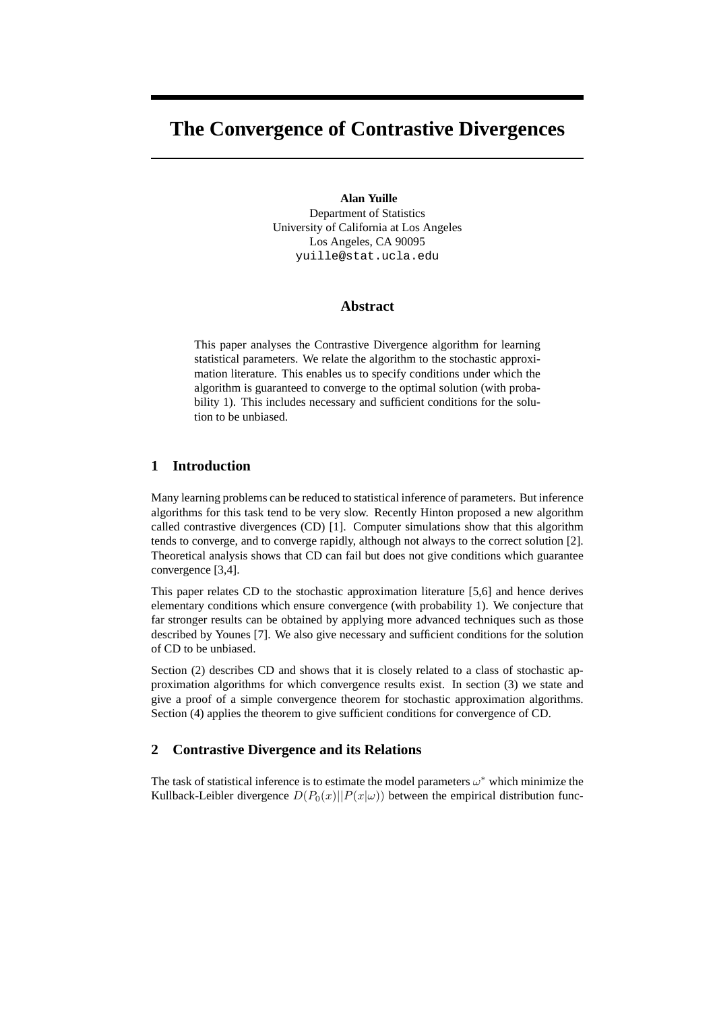# **The Convergence of Contrastive Divergences**

**Alan Yuille** Department of Statistics University of California at Los Angeles Los Angeles, CA 90095 yuille@stat.ucla.edu

### **Abstract**

This paper analyses the Contrastive Divergence algorithm for learning statistical parameters. We relate the algorithm to the stochastic approximation literature. This enables us to specify conditions under which the algorithm is guaranteed to converge to the optimal solution (with probability 1). This includes necessary and sufficient conditions for the solution to be unbiased.

## **1 Introduction**

Many learning problems can be reduced to statistical inference of parameters. But inference algorithms for this task tend to be very slow. Recently Hinton proposed a new algorithm called contrastive divergences (CD) [1]. Computer simulations show that this algorithm tends to converge, and to converge rapidly, although not always to the correct solution [2]. Theoretical analysis shows that CD can fail but does not give conditions which guarantee convergence [3,4].

This paper relates CD to the stochastic approximation literature [5,6] and hence derives elementary conditions which ensure convergence (with probability 1). We conjecture that far stronger results can be obtained by applying more advanced techniques such as those described by Younes [7]. We also give necessary and sufficient conditions for the solution of CD to be unbiased.

Section (2) describes CD and shows that it is closely related to a class of stochastic approximation algorithms for which convergence results exist. In section (3) we state and give a proof of a simple convergence theorem for stochastic approximation algorithms. Section (4) applies the theorem to give sufficient conditions for convergence of CD.

## **2 Contrastive Divergence and its Relations**

The task of statistical inference is to estimate the model parameters  $\omega^*$  which minimize the Kullback-Leibler divergence  $D(P_0(x)||P(x|\omega))$  between the empirical distribution func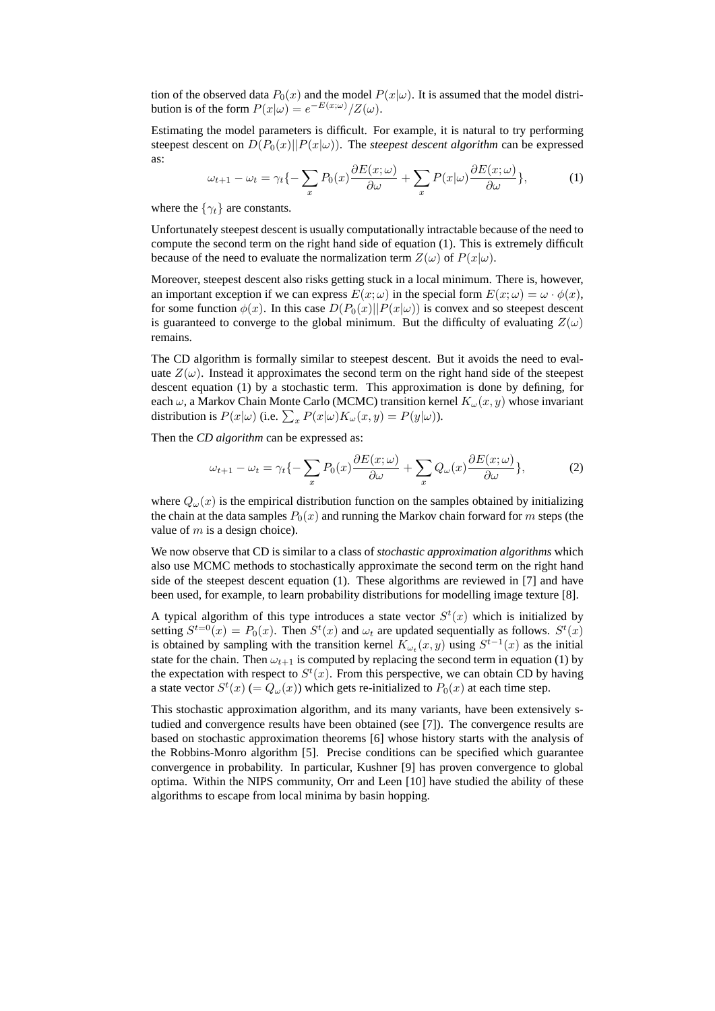tion of the observed data  $P_0(x)$  and the model  $P(x|\omega)$ . It is assumed that the model distribution is of the form  $P(x|\omega) = e^{-E(x;\omega)}/Z(\omega)$ .

Estimating the model parameters is difficult. For example, it is natural to try performing steepest descent on  $D(P_0(x)||P(x|\omega))$ . The *steepest descent algorithm* can be expressed as:

$$
\omega_{t+1} - \omega_t = \gamma_t \{-\sum_x P_0(x) \frac{\partial E(x;\omega)}{\partial \omega} + \sum_x P(x|\omega) \frac{\partial E(x;\omega)}{\partial \omega} \},\tag{1}
$$

where the  $\{\gamma_t\}$  are constants.

Unfortunately steepest descent is usually computationally intractable because of the need to compute the second term on the right hand side of equation (1). This is extremely difficult because of the need to evaluate the normalization term  $Z(\omega)$  of  $P(x|\omega)$ .

Moreover, steepest descent also risks getting stuck in a local minimum. There is, however, an important exception if we can express  $E(x; \omega)$  in the special form  $E(x; \omega) = \omega \cdot \phi(x)$ , for some function  $\phi(x)$ . In this case  $D(P_0(x)||P(x|\omega))$  is convex and so steepest descent is guaranteed to converge to the global minimum. But the difficulty of evaluating  $Z(\omega)$ remains.

The CD algorithm is formally similar to steepest descent. But it avoids the need to evaluate  $Z(\omega)$ . Instead it approximates the second term on the right hand side of the steepest descent equation (1) by a stochastic term. This approximation is done by defining, for each  $\omega$ , a Markov Chain Monte Carlo (MCMC) transition kernel  $K_{\omega}(x, y)$  whose invariant distribution is  $P(x|\omega)$  (i.e.  $\sum_{x} P(x|\omega)K_{\omega}(x, y) = P(y|\omega)$ ).

Then the *CD algorithm* can be expressed as:

$$
\omega_{t+1} - \omega_t = \gamma_t \{-\sum_x P_0(x) \frac{\partial E(x;\omega)}{\partial \omega} + \sum_x Q_\omega(x) \frac{\partial E(x;\omega)}{\partial \omega} \},\tag{2}
$$

where  $Q_{\omega}(x)$  is the empirical distribution function on the samples obtained by initializing the chain at the data samples  $P_0(x)$  and running the Markov chain forward for m steps (the value of  $m$  is a design choice).

We now observe that CD is similar to a class of *stochastic approximation algorithms* which also use MCMC methods to stochastically approximate the second term on the right hand side of the steepest descent equation (1). These algorithms are reviewed in [7] and have been used, for example, to learn probability distributions for modelling image texture [8].

A typical algorithm of this type introduces a state vector  $S<sup>t</sup>(x)$  which is initialized by setting  $S^{t=0}(x) = P_0(x)$ . Then  $S^t(x)$  and  $\omega_t$  are updated sequentially as follows.  $S^t(x)$ is obtained by sampling with the transition kernel  $K_{\omega_t}(x, y)$  using  $S^{t-1}(x)$  as the initial state for the chain. Then  $\omega_{t+1}$  is computed by replacing the second term in equation (1) by the expectation with respect to  $S<sup>t</sup>(x)$ . From this perspective, we can obtain CD by having a state vector  $S^t(x)$  (=  $Q_\omega(x)$ ) which gets re-initialized to  $P_0(x)$  at each time step.

This stochastic approximation algorithm, and its many variants, have been extensively studied and convergence results have been obtained (see [7]). The convergence results are based on stochastic approximation theorems [6] whose history starts with the analysis of the Robbins-Monro algorithm [5]. Precise conditions can be specified which guarantee convergence in probability. In particular, Kushner [9] has proven convergence to global optima. Within the NIPS community, Orr and Leen [10] have studied the ability of these algorithms to escape from local minima by basin hopping.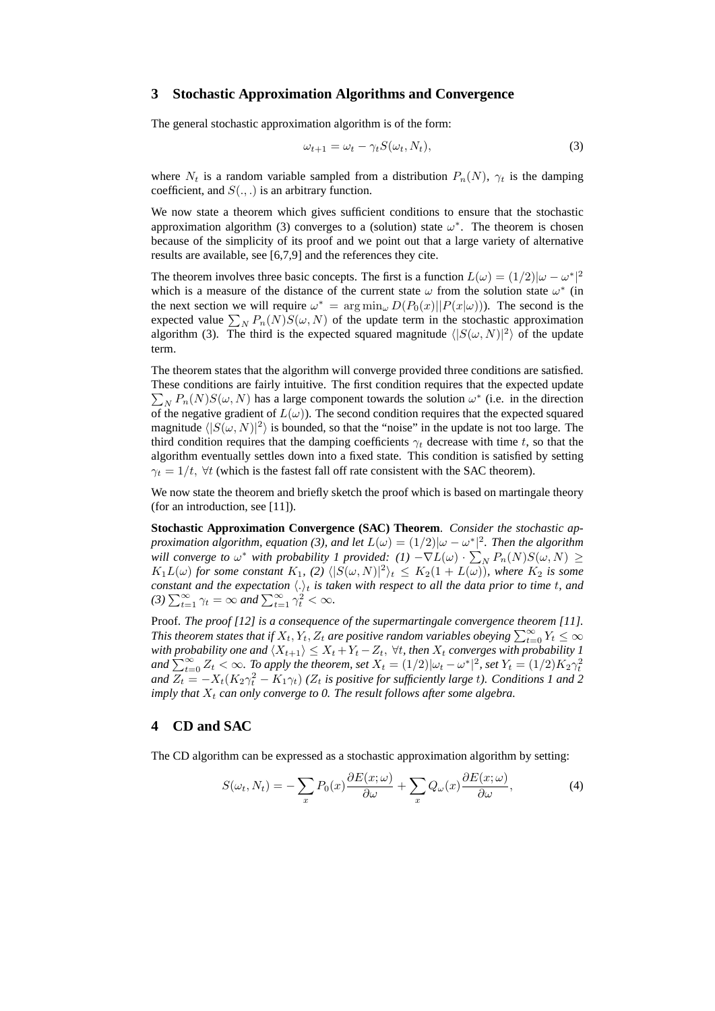## **3 Stochastic Approximation Algorithms and Convergence**

The general stochastic approximation algorithm is of the form:

$$
\omega_{t+1} = \omega_t - \gamma_t S(\omega_t, N_t), \tag{3}
$$

where  $N_t$  is a random variable sampled from a distribution  $P_n(N)$ ,  $\gamma_t$  is the damping coefficient, and  $S(.,.)$  is an arbitrary function.

We now state a theorem which gives sufficient conditions to ensure that the stochastic approximation algorithm (3) converges to a (solution) state  $\omega^*$ . The theorem is chosen because of the simplicity of its proof and we point out that a large variety of alternative results are available, see [6,7,9] and the references they cite.

The theorem involves three basic concepts. The first is a function  $L(\omega) = (1/2)|\omega - \omega^*|^2$ which is a measure of the distance of the current state  $\omega$  from the solution state  $\omega^*$  (in the next section we will require  $\omega^* = \arg \min_{\omega} D(P_0(x)||P(x|\omega))$ . The second is the expected value  $\sum_{N} P_n(N)S(\omega, N)$  of the update term in the stochastic approximation algorithm (3). The third is the expected squared magnitude  $\langle |S(\omega, N)|^2 \rangle$  of the update term.

The theorem states that the algorithm will converge provided three conditions are satisfied. These conditions are fairly intuitive. The first condition requires that the expected update  $\sum_{N} P_n(N) S(\omega, N)$  has a large component towards the solution  $\omega^*$  (i.e. in the direction of the negative gradient of  $L(\omega)$ ). The second condition requires that the expected squared magnitude  $\langle |S(\omega, N)|^2 \rangle$  is bounded, so that the "noise" in the update is not too large. The third condition requires that the damping coefficients  $\gamma_t$  decrease with time t, so that the algorithm eventually settles down into a fixed state. This condition is satisfied by setting  $\gamma_t = 1/t$ ,  $\forall t$  (which is the fastest fall off rate consistent with the SAC theorem).

We now state the theorem and briefly sketch the proof which is based on martingale theory (for an introduction, see [11]).

**Stochastic Approximation Convergence (SAC) Theorem**. *Consider the stochastic approximation algorithm, equation (3), and let*  $L(\omega) = (1/2)|\omega - \omega^*|^2$ . Then the algorithm *will converge to*  $\omega^*$  *with probability 1 provided:*  $(I)$   $-\nabla L(\omega) \cdot \sum_N P_n(N)S(\omega, N) \geq$  $K_1L(\omega)$  for some constant  $K_1$ , (2)  $\langle |S(\omega, N)|^2 \rangle_t \leq K_2(1 + L(\omega))$ , where  $K_2$  is some *constant and the expectation*  $\langle . \rangle_t$  *is taken with respect to all the data prior to time t, and* (3)  $\sum_{t=1}^{\infty} \gamma_t = \infty$  and  $\sum_{t=1}^{\infty} \gamma_t^2 < \infty$ .

Proof. *The proof [12] is a consequence of the supermartingale convergence theorem [11].* This theorem states that if  $X_t, Y_t, Z_t$  are positive random variables obeying  $\sum_{t=0}^{\infty} Y_t \leq \infty$ *with probability one and*  $\langle X_{t+1} \rangle \leq X_t + Y_t - Z_t$ ,  $\forall t$ , then  $X_t$  *converges with probability 1* and  $\sum_{t=0}^{\infty} Z_t < \infty$ . To apply the theorem, set  $X_t = (1/2)|\omega_t - \omega^*|^2$ , set  $Y_t = (1/2)K_2\gamma_t^2$ <br>and  $Z_t = -X_t(K_2\gamma_t^2 - K_1\gamma_t)$  ( $Z_t$  is positive for sufficiently large t). Conditions 1 and 2 *imply that*  $X_t$  *can only converge to 0. The result follows after some algebra.* 

#### **4 CD and SAC**

The CD algorithm can be expressed as a stochastic approximation algorithm by setting:

$$
S(\omega_t, N_t) = -\sum_x P_0(x) \frac{\partial E(x; \omega)}{\partial \omega} + \sum_x Q_\omega(x) \frac{\partial E(x; \omega)}{\partial \omega},
$$
(4)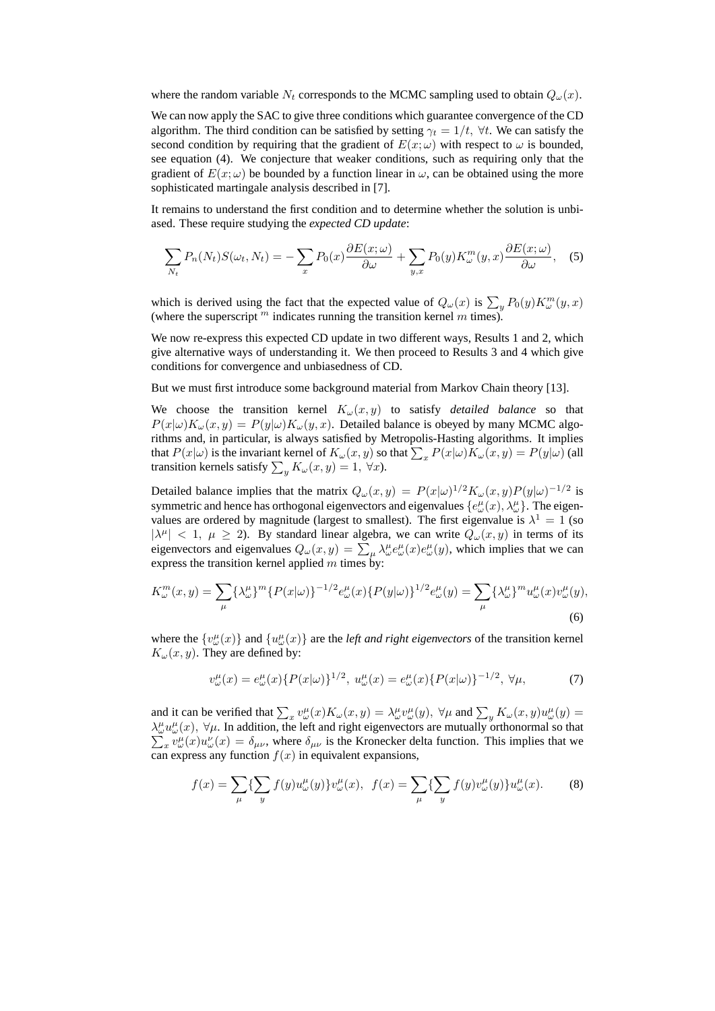where the random variable  $N_t$  corresponds to the MCMC sampling used to obtain  $Q_{\omega}(x)$ .

We can now apply the SAC to give three conditions which guarantee convergence of the CD algorithm. The third condition can be satisfied by setting  $\gamma_t = 1/t$ ,  $\forall t$ . We can satisfy the second condition by requiring that the gradient of  $E(x; \omega)$  with respect to  $\omega$  is bounded, see equation (4). We conjecture that weaker conditions, such as requiring only that the gradient of  $E(x; \omega)$  be bounded by a function linear in  $\omega$ , can be obtained using the more sophisticated martingale analysis described in [7].

It remains to understand the first condition and to determine whether the solution is unbiased. These require studying the *expected CD update*:

$$
\sum_{N_t} P_n(N_t) S(\omega_t, N_t) = -\sum_x P_0(x) \frac{\partial E(x; \omega)}{\partial \omega} + \sum_{y, x} P_0(y) K^m_{\omega}(y, x) \frac{\partial E(x; \omega)}{\partial \omega}, \quad (5)
$$

which is derived using the fact that the expected value of  $Q_{\omega}(x)$  is  $\sum_{y} P_0(y) K_{\omega}^m(y, x)$ (where the superscript  $<sup>m</sup>$  indicates running the transition kernel  $m$  times).</sup>

We now re-express this expected CD update in two different ways, Results 1 and 2, which give alternative ways of understanding it. We then proceed to Results 3 and 4 which give conditions for convergence and unbiasedness of CD.

But we must first introduce some background material from Markov Chain theory [13].

We choose the transition kernel  $K_{\omega}(x, y)$  to satisfy *detailed balance* so that  $P(x|\omega)K_{\omega}(x,y) = P(y|\omega)K_{\omega}(y,x)$ . Detailed balance is obeyed by many MCMC algorithms and, in particular, is always satisfied by Metropolis-Hasting algorithms. It implies that  $P(x|\omega)$  is the invariant kernel of  $K_{\omega}(x, y)$  so that  $\sum_{x} P(x|\omega)K_{\omega}(x, y) = P(y|\omega)$  (all transition kernels satisfy  $\sum_{y} K_{\omega}(x, y) = 1$ ,  $\forall x$ ).

Detailed balance implies that the matrix  $Q_{\omega}(x, y) = P(x|\omega)^{1/2} K_{\omega}(x, y) P(y|\omega)^{-1/2}$  is symmetric and hence has orthogonal eigenvectors and eigenvalues  $\{e^{\mu}_{\omega}(x), \lambda^{\mu}_{\omega}\}\$ . The eigenvalues are ordered by magnitude (largest to smallest). The first eigenvalue is  $\lambda^1 = 1$  (so  $|\lambda^{\mu}| < 1, \mu \ge 2$ ). By standard linear algebra, we can write  $Q_{\omega}(x, y)$  in terms of its eigenvectors and eigenvalues  $Q_\omega(x, y) = \sum_\mu \lambda_\omega^\mu e_\omega^\mu(x) e_\omega^\mu(y)$ , which implies that we can express the transition kernel applied  $m$  times by:

$$
K_{\omega}^{m}(x,y) = \sum_{\mu} {\{\lambda_{\omega}^{\mu}\}}^{m} {P(x|\omega)\}^{-1/2} e_{\omega}^{\mu}(x) {P(y|\omega)\}^{1/2} e_{\omega}^{\mu}(y) = \sum_{\mu} {\{\lambda_{\omega}^{\mu}\}}^{m} u_{\omega}^{\mu}(x) v_{\omega}^{\mu}(y),
$$
\n(6)

where the  $\{v^{\mu}_{\omega}(x)\}\$  and  $\{u^{\mu}_{\omega}(x)\}\$  are the *left and right eigenvectors* of the transition kernel  $K_{\omega}(x, y)$ . They are defined by:

$$
v^{\mu}_{\omega}(x) = e^{\mu}_{\omega}(x) \{ P(x|\omega) \}^{1/2}, \ u^{\mu}_{\omega}(x) = e^{\mu}_{\omega}(x) \{ P(x|\omega) \}^{-1/2}, \ \forall \mu,
$$
 (7)

and it can be verified that  $\sum_x v^{\mu}_{\omega}(x) K_{\omega}(x, y) = \lambda^{\mu}_{\omega} v^{\mu}_{\omega}(y)$ ,  $\forall \mu$  and  $\sum_y K_{\omega}(x, y) u^{\mu}_{\omega}(y) =$  $\lambda^{\mu}_{\omega} u^{\mu}_{\omega}(x)$ ,  $\forall \mu$ . In addition, the left and right eigenvectors are mutually orthonormal so that  $\sum_{x} v^{\mu}_{\omega}(x) u^{\nu}_{\omega}(x) = \delta_{\mu\nu}$ , where  $\delta_{\mu\nu}$  is the Kronecker delta function. This implies that we  $_{x}v^{\mu}_{\omega}(x)u^{\nu}_{\omega}(x) = \delta_{\mu\nu}$ , where  $\delta_{\mu\nu}$  is the Kronecker delta function. This implies that we can express any function  $f(x)$  in equivalent expansions,

$$
f(x) = \sum_{\mu} \{ \sum_{y} f(y) u_{\omega}^{\mu}(y) \} v_{\omega}^{\mu}(x), \ f(x) = \sum_{\mu} \{ \sum_{y} f(y) v_{\omega}^{\mu}(y) \} u_{\omega}^{\mu}(x). \tag{8}
$$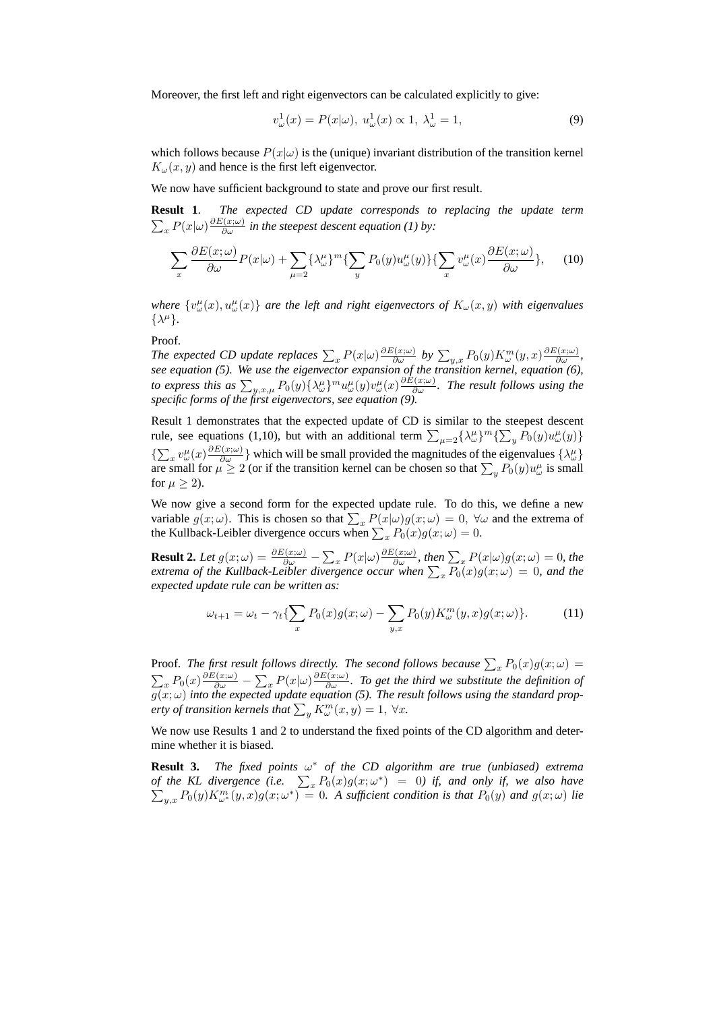Moreover, the first left and right eigenvectors can be calculated explicitly to give:

$$
v_{\omega}^{1}(x) = P(x|\omega), \ u_{\omega}^{1}(x) \propto 1, \ \lambda_{\omega}^{1} = 1,
$$
\n(9)

which follows because  $P(x|\omega)$  is the (unique) invariant distribution of the transition kernel  $K_{\omega}(x, y)$  and hence is the first left eigenvector.

We now have sufficient background to state and prove our first result.

**Result 1**. *The expected CD update corresponds to replacing the update term*  $\sum_{x} P(x|\omega) \frac{\partial E(x;\omega)}{\partial \omega}$  in the steepest descent equation (1) by:

$$
\sum_{x} \frac{\partial E(x;\omega)}{\partial \omega} P(x|\omega) + \sum_{\mu=2} {\{\lambda^{\mu}_{\omega}\}}^{m} {\{\sum_{y} P_{0}(y)u^{\mu}_{\omega}(y)\}} {\{\sum_{x} v^{\mu}_{\omega}(x) \frac{\partial E(x;\omega)}{\partial \omega}\}}, \quad (10)
$$

where  $\{v^{\mu}_{\omega}(x), u^{\mu}_{\omega}(x)\}\)$  are the left and right eigenvectors of  $K_{\omega}(x, y)$  with eigenvalues  $\{\lambda^{\mu}\}.$ 

Proof.

*The expected CD update replaces*  $\sum_{x} P(x|\omega) \frac{\partial E(x;\omega)}{\partial \omega}$  *by*  $\sum_{y,x} P_0(y) K_{\omega}^m(y,x) \frac{\partial E(x;\omega)}{\partial \omega}$ , *see equation (5). We use the eigenvector expansion of the transition kernel, equation (6), to express this as*  $\sum_{y,x,\mu} P_0(y) \{\lambda_\omega^{\mu}\}^m u_\omega^{\mu}(y) v_\omega^{\mu}(x) \frac{\partial E(x;\omega)}{\partial \omega}$ . The result follows using the *specific forms of the first eigenvectors, see equation (9).*

Result 1 demonstrates that the expected update of CD is similar to the steepest descent rule, see equations (1,10), but with an additional term  $\sum_{\mu=2} {\{\lambda_{\omega}^{\mu}\}}^m {\{\sum_{y} P_0(y)u_{\omega}^{\mu}(y)\}}$  $\{\sum_x v_\omega^\mu(x)\frac{\partial E(x;\omega)}{\partial \omega}\}\$  which will be small provided the magnitudes of the eigenvalues  $\{\lambda_\omega^\mu\}$ are small for  $\mu \ge 2$  (or if the transition kernel can be chosen so that  $\sum_{y} P_0(y) u^{\mu}_{\omega}$  is small for  $\mu \geq 2$ ).

We now give a second form for the expected update rule. To do this, we define a new variable  $g(x; \omega)$ . This is chosen so that  $\sum_{x} P(x|\omega)g(x; \omega) = 0$ ,  $\forall \omega$  and the extrema of the Kullback-Leibler divergence occurs when  $\sum_{x} P_0(x) g(x; \omega) = 0$ .

**Result 2.** Let  $g(x; \omega) = \frac{\partial E(x; \omega)}{\partial \omega} - \sum_{x} P(x|\omega) \frac{\partial E(x; \omega)}{\partial \omega}$ , then  $\sum_{x} P(x|\omega)g(x; \omega) = 0$ , the *extrema of the Kullback-Leibler divergence occur when*  $\sum_{x} P_0(x) g(x; \omega) = 0$ , and the *expected update rule can be written as:*

$$
\omega_{t+1} = \omega_t - \gamma_t \left\{ \sum_x P_0(x) g(x; \omega) - \sum_{y, x} P_0(y) K^m_{\omega}(y, x) g(x; \omega) \right\}.
$$
 (11)

Proof. The first result follows directly. The second follows because  $\sum_{x} P_0(x) g(x; \omega) =$  $\sum_{x} P_0(x) \frac{\partial E(x;\omega)}{\partial \omega} - \sum_{x} P(x|\omega) \frac{\partial E(x;\omega)}{\partial \omega}$ . To get the third we substitute the definition of  $g(x; \omega)$  *into the expected update equation* (5). The result follows using the standard prop*erty of transition kernels that*  $\sum_{y} \tilde{K}_{\omega}^{m}(x, y) = 1, \ \forall x$ .

We now use Results 1 and 2 to understand the fixed points of the CD algorithm and determine whether it is biased.

**Result 3.** *The fixed points*  $\omega^*$  *of the CD algorithm are true (unbiased) extrema of the KL divergence (i.e.*  $\sum_{x} P_0(x)g(x;\omega^*) = 0$ ) if, and only if, we also have  $\sum_{y,x} P_0(y) K^m_{\omega^*}(y,x) g(x;\omega^*) = 0$ . A sufficient condition is that  $P_0(y)$  and  $g(x;\omega)$  lie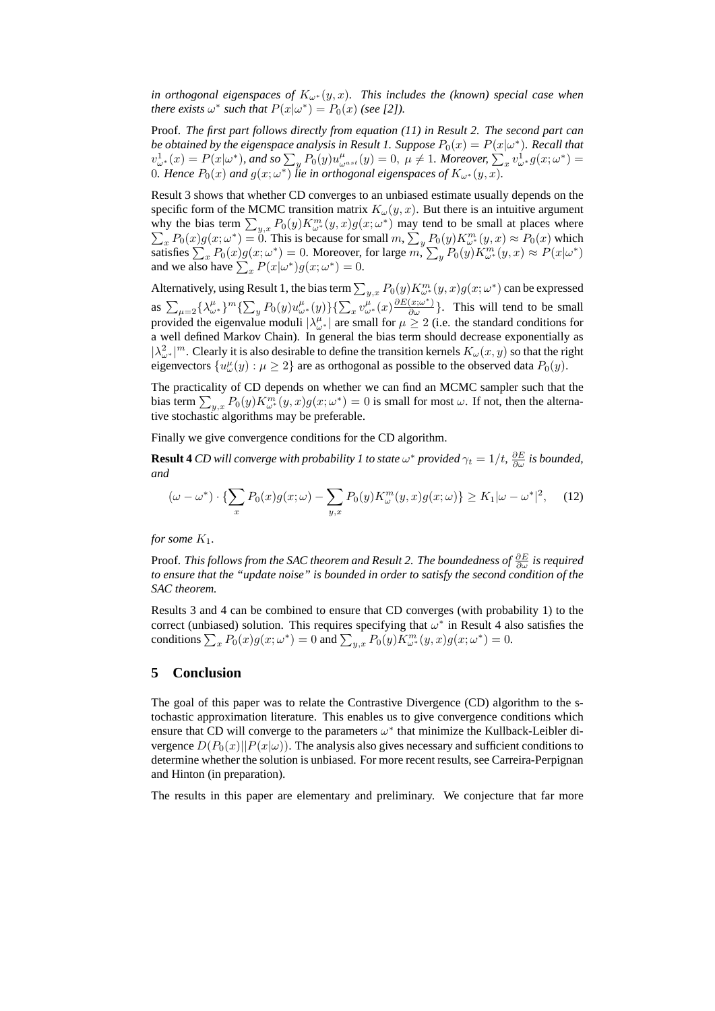*in orthogonal eigenspaces of*  $K_{\omega^*}(y, x)$ *. This includes the (known) special case when there exists*  $\omega^*$  *such that*  $P(x|\omega^*) = P_0(x)$  *(see [2]).* 

Proof. *The first part follows directly from equation (11) in Result 2. The second part can be obtained by the eigenspace analysis in Result 1. Suppose*  $P_0(x) = P(x|\omega^*)$ . Recall that  $v^1_{\omega^*}(x) = P(x|\omega^*),$  and so  $\sum_{y} P_0(y)u^{\mu}_{\omega^{ast}}(y) = 0, \ \mu \neq 1$ . Moreover,  $\sum_{x} v^1_{\omega^*} g(x;\omega^*) =$ 0. Hence  $P_0(x)$  and  $g(x; \omega^*)$  lie in orthogonal eigenspaces of  $K_{\omega^*}(y, x)$ .

Result 3 shows that whether CD converges to an unbiased estimate usually depends on the specific form of the MCMC transition matrix  $K_{\omega}(y, x)$ . But there is an intuitive argument why the bias term  $\sum_{y,x} P_0(y) K_{\omega^*}^m(y,x) g(x;\omega^*)$  $\sum$ ) may tend to be small at places where  $\sum_{x} P_0(x) g(x; \omega^*) = 0$ . This is because for small  $m$ ,  $\sum_{y} P_0(y) K_{\omega^*}^m(y, x) \approx P_0(x)$  which satisfies  $\sum_{x} P_0(x)g(x;\omega^*) = 0$ . Moreover, for large  $m, \sum_{y} P_0(y)K_{\omega^*}^m(y,x) \approx P(x|\omega^*)$ and we also have  $\sum_{x} P(x|\omega^*) g(x;\omega^*) = 0$ .

Alternatively, using Result 1, the bias term  $\sum_{y,x} P_0(y) K_{\omega^*}^m(y,x) g(x;\omega^*)$  can be expressed as  $\sum_{\mu=2} {\{\lambda_{\omega^*}^{\mu}\}}^m {\{\sum_y P_0(y)u_{\omega^*}^{\mu}(y)\}} {\{\sum_x v_{\omega^*}^{\mu}(x) \frac{\partial E(x;\omega^*)}{\partial \omega}\}}$ . This will tend to be small provided the eigenvalue moduli  $|\lambda_{\omega^*}^{\mu}|$  are small for  $\mu \geq 2$  (i.e. the standard conditions for a well defined Markov Chain). In general the bias term should decrease exponentially as  $|\lambda_{\omega^*}^2|^m$ . Clearly it is also desirable to define the transition kernels  $K_\omega(x, y)$  so that the right eigenvectors  $\{u^{\mu}_{\omega}(y): \mu \ge 2\}$  are as orthogonal as possible to the observed data  $P_0(y)$ .

The practicality of CD depends on whether we can find an MCMC sampler such that the bias term  $\sum_{y,x} P_0(y) K^m_{\omega^*}(y,x) g(x;\omega^*) = 0$  is small for most  $\omega$ . If not, then the alternative stochastic algorithms may be preferable.

Finally we give convergence conditions for the CD algorithm.

**Result 4** CD will converge with probability 1 to state  $\omega^*$  provided  $\gamma_t = 1/t$ ,  $\frac{\partial E}{\partial \omega}$  is bounded, *and*

$$
(\omega - \omega^*) \cdot \left\{ \sum_x P_0(x) g(x; \omega) - \sum_{y, x} P_0(y) K^m_\omega(y, x) g(x; \omega) \right\} \ge K_1 |\omega - \omega^*|^2, \quad (12)
$$

*for some*  $K_1$ *.* 

Proof. *This follows from the SAC theorem and Result 2. The boundedness of*  $\frac{\partial E}{\partial \omega}$  *is required to ensure that the "update noise" is bounded in order to satisfy the second condition of the SAC theorem.*

Results 3 and 4 can be combined to ensure that CD converges (with probability 1) to the correct (unbiased) solution. This requires specifying that  $\omega^*$  in Result 4 also satisfies the conditions  $\sum_{x} P_0(x)g(x;\omega^*) = 0$  and  $\sum_{y,x} P_0(y)K_{\omega^*}^m(y,x)g(x;\omega^*) = 0$ .

#### **5 Conclusion**

The goal of this paper was to relate the Contrastive Divergence (CD) algorithm to the stochastic approximation literature. This enables us to give convergence conditions which ensure that CD will converge to the parameters  $\omega^*$  that minimize the Kullback-Leibler divergence  $D(P_0(x)||P(x|\omega))$ . The analysis also gives necessary and sufficient conditions to determine whether the solution is unbiased. For more recent results, see Carreira-Perpignan and Hinton (in preparation).

The results in this paper are elementary and preliminary. We conjecture that far more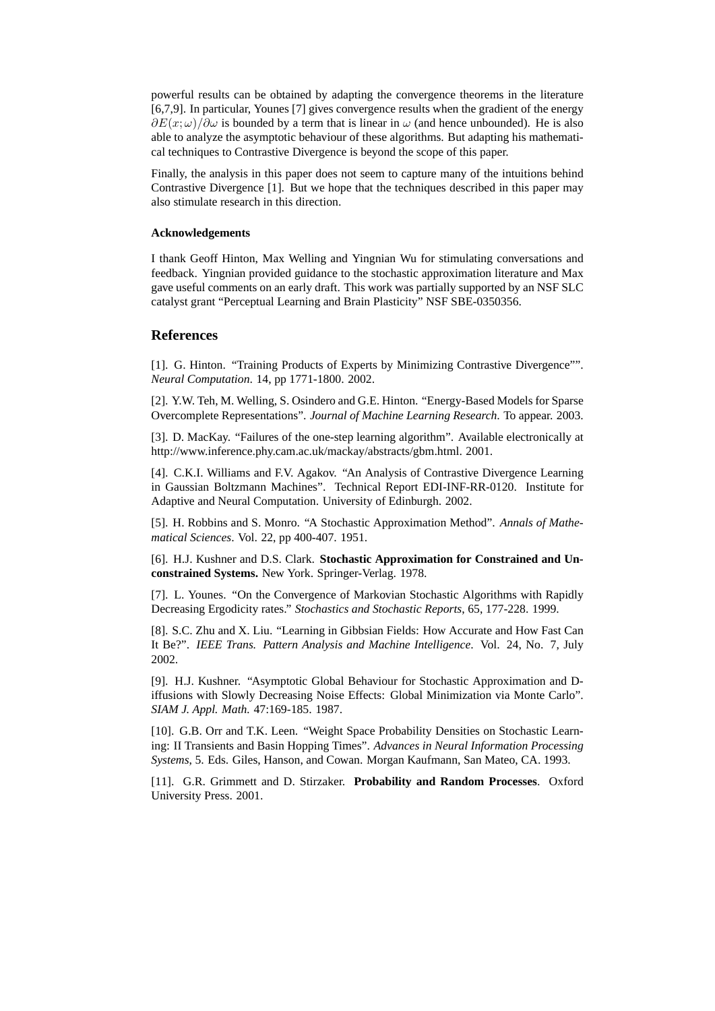powerful results can be obtained by adapting the convergence theorems in the literature [6,7,9]. In particular, Younes [7] gives convergence results when the gradient of the energy  $\partial E(x; \omega) / \partial \omega$  is bounded by a term that is linear in  $\omega$  (and hence unbounded). He is also able to analyze the asymptotic behaviour of these algorithms. But adapting his mathematical techniques to Contrastive Divergence is beyond the scope of this paper.

Finally, the analysis in this paper does not seem to capture many of the intuitions behind Contrastive Divergence [1]. But we hope that the techniques described in this paper may also stimulate research in this direction.

#### **Acknowledgements**

I thank Geoff Hinton, Max Welling and Yingnian Wu for stimulating conversations and feedback. Yingnian provided guidance to the stochastic approximation literature and Max gave useful comments on an early draft. This work was partially supported by an NSF SLC catalyst grant "Perceptual Learning and Brain Plasticity" NSF SBE-0350356.

## **References**

[1]. G. Hinton. "Training Products of Experts by Minimizing Contrastive Divergence"". *Neural Computation*. 14, pp 1771-1800. 2002.

[2]. Y.W. Teh, M. Welling, S. Osindero and G.E. Hinton. "Energy-Based Models for Sparse Overcomplete Representations". *Journal of Machine Learning Research*. To appear. 2003.

[3]. D. MacKay. "Failures of the one-step learning algorithm". Available electronically at http://www.inference.phy.cam.ac.uk/mackay/abstracts/gbm.html. 2001.

[4]. C.K.I. Williams and F.V. Agakov. "An Analysis of Contrastive Divergence Learning in Gaussian Boltzmann Machines". Technical Report EDI-INF-RR-0120. Institute for Adaptive and Neural Computation. University of Edinburgh. 2002.

[5]. H. Robbins and S. Monro. "A Stochastic Approximation Method". *Annals of Mathematical Sciences*. Vol. 22, pp 400-407. 1951.

[6]. H.J. Kushner and D.S. Clark. **Stochastic Approximation for Constrained and Unconstrained Systems.** New York. Springer-Verlag. 1978.

[7]. L. Younes. "On the Convergence of Markovian Stochastic Algorithms with Rapidly Decreasing Ergodicity rates." *Stochastics and Stochastic Reports*, 65, 177-228. 1999.

[8]. S.C. Zhu and X. Liu. "Learning in Gibbsian Fields: How Accurate and How Fast Can It Be?". *IEEE Trans. Pattern Analysis and Machine Intelligence*. Vol. 24, No. 7, July 2002.

[9]. H.J. Kushner. "Asymptotic Global Behaviour for Stochastic Approximation and Diffusions with Slowly Decreasing Noise Effects: Global Minimization via Monte Carlo". *SIAM J. Appl. Math.* 47:169-185. 1987.

[10]. G.B. Orr and T.K. Leen. "Weight Space Probability Densities on Stochastic Learning: II Transients and Basin Hopping Times". *Advances in Neural Information Processing Systems*, 5. Eds. Giles, Hanson, and Cowan. Morgan Kaufmann, San Mateo, CA. 1993.

[11]. G.R. Grimmett and D. Stirzaker. **Probability and Random Processes**. Oxford University Press. 2001.